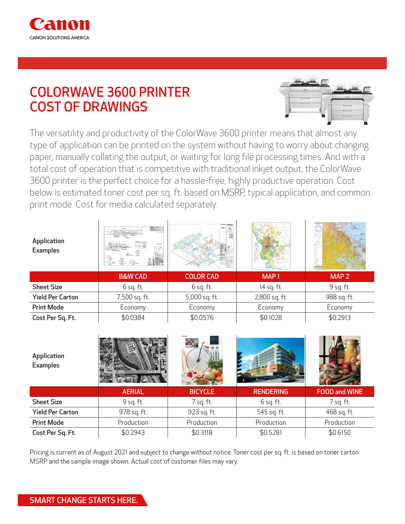

## COLORWAVE 3600 PRINTER COST OF DRAWINGS



The versatility and productivity of the ColorWave 3600 printer means that almost any type of application can be printed on the system without having to worry about changing paper, manually collating the output, or waiting for long file processing times. And with a total cost of operation that is competitive with traditional inkjet output, the ColorWave 3600 printer is the perfect choice for a hassle-free, highly productive operation. Cost below is estimated toner cost per sq. ft. based on MSRP, typical application, and common print mode. Cost for media calculated separately.

| Application<br><b>Examples</b> | Hill<br><b>System</b><br>$\mathbb{F}^*$<br>e 1<br>辈 士 | ē<br>$\equiv$    |                  |                  |
|--------------------------------|-------------------------------------------------------|------------------|------------------|------------------|
|                                | <b>B&amp;W CAD</b>                                    | <b>COLOR CAD</b> | MAP <sub>1</sub> | MAP <sub>2</sub> |
|                                |                                                       |                  |                  |                  |
| <b>Sheet Size</b>              | $6$ sq. ft.                                           | $6$ sq. ft.      | 14 sq. ft.       | 9 sq. ft.        |
| <b>Yield Per Carton</b>        | 7,500 sq. ft.                                         | 5,000 sq. ft.    | 2,800 sq. ft.    | 988 sq. ft.      |
| <b>Print Mode</b>              | Economy                                               | Economy          | Economy          | Economy          |

| Application<br><b>Examples</b> |               |                |                  |                      |  |
|--------------------------------|---------------|----------------|------------------|----------------------|--|
|                                | <b>AERIAL</b> | <b>BICYCLE</b> | <b>RENDERING</b> | <b>FOOD and WINE</b> |  |
| <b>Sheet Size</b>              | 9 sq. ft.     | 7 sq. ft.      | $6$ sq. ft.      | 7 sq. ft.            |  |
| <b>Yield Per Carton</b>        | 978 sq. ft.   | 923 sq. ft.    | 545 sq. ft.      | 468 sq. ft.          |  |
| <b>Print Mode</b>              | Production    | Production     | Production       | Production           |  |
|                                |               |                |                  |                      |  |

Pricing is current as of August 2021 and subject to change without notice. Toner cost per sq. ft. is based on toner carton MSRP and the sample image shown. Actual cost of customer files may vary.